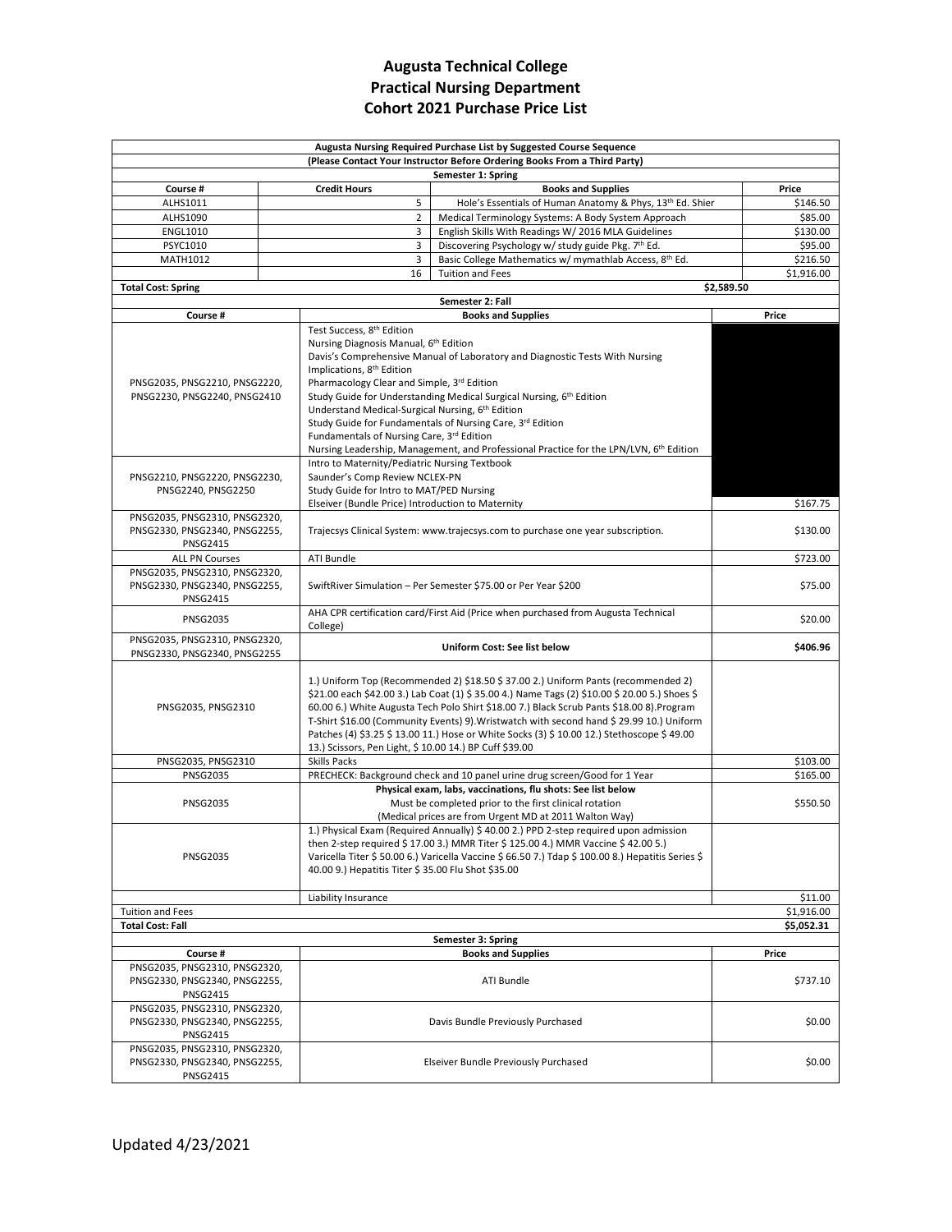## **Augusta Technical College Practical Nursing Department Cohort 2021 Purchase Price List**

| Augusta Nursing Required Purchase List by Suggested Course Sequence<br>(Please Contact Your Instructor Before Ordering Books From a Third Party) |  |                                                                                                    |            |  |
|--------------------------------------------------------------------------------------------------------------------------------------------------|--|----------------------------------------------------------------------------------------------------|------------|--|
|                                                                                                                                                  |  | Semester 1: Spring                                                                                 |            |  |
| Course #                                                                                                                                         |  | <b>Credit Hours</b><br><b>Books and Supplies</b>                                                   | Price      |  |
| ALHS1011                                                                                                                                         |  | 5<br>Hole's Essentials of Human Anatomy & Phys, 13 <sup>th</sup> Ed. Shier                         | \$146.50   |  |
| ALHS1090                                                                                                                                         |  | $\overline{2}$<br>Medical Terminology Systems: A Body System Approach                              | \$85.00    |  |
| <b>ENGL1010</b>                                                                                                                                  |  | English Skills With Readings W/ 2016 MLA Guidelines<br>3                                           | \$130.00   |  |
| PSYC1010                                                                                                                                         |  | 3<br>Discovering Psychology w/ study guide Pkg. 7th Ed.                                            | \$95.00    |  |
| MATH1012                                                                                                                                         |  | Basic College Mathematics w/ mymathlab Access, 8th Ed.<br>3                                        | \$216.50   |  |
|                                                                                                                                                  |  | <b>Tuition and Fees</b><br>16                                                                      | \$1,916.00 |  |
| <b>Total Cost: Spring</b>                                                                                                                        |  |                                                                                                    | \$2,589.50 |  |
|                                                                                                                                                  |  | Semester 2: Fall                                                                                   |            |  |
| Course #                                                                                                                                         |  | <b>Books and Supplies</b>                                                                          | Price      |  |
|                                                                                                                                                  |  | Test Success, 8 <sup>th</sup> Edition                                                              |            |  |
|                                                                                                                                                  |  | Nursing Diagnosis Manual, 6 <sup>th</sup> Edition                                                  |            |  |
|                                                                                                                                                  |  | Davis's Comprehensive Manual of Laboratory and Diagnostic Tests With Nursing                       |            |  |
|                                                                                                                                                  |  | Implications, 8 <sup>th</sup> Edition                                                              |            |  |
| PNSG2035, PNSG2210, PNSG2220,                                                                                                                    |  | Pharmacology Clear and Simple, 3rd Edition                                                         |            |  |
| PNSG2230, PNSG2240, PNSG2410                                                                                                                     |  | Study Guide for Understanding Medical Surgical Nursing, 6th Edition                                |            |  |
|                                                                                                                                                  |  | Understand Medical-Surgical Nursing, 6th Edition                                                   |            |  |
|                                                                                                                                                  |  | Study Guide for Fundamentals of Nursing Care, 3rd Edition                                          |            |  |
|                                                                                                                                                  |  | Fundamentals of Nursing Care, 3rd Edition                                                          |            |  |
|                                                                                                                                                  |  | Nursing Leadership, Management, and Professional Practice for the LPN/LVN, 6 <sup>th</sup> Edition |            |  |
|                                                                                                                                                  |  | Intro to Maternity/Pediatric Nursing Textbook                                                      |            |  |
| PNSG2210, PNSG2220, PNSG2230,                                                                                                                    |  | Saunder's Comp Review NCLEX-PN                                                                     |            |  |
| PNSG2240, PNSG2250                                                                                                                               |  | Study Guide for Intro to MAT/PED Nursing                                                           |            |  |
|                                                                                                                                                  |  | Elseiver (Bundle Price) Introduction to Maternity                                                  | \$167.75   |  |
| PNSG2035, PNSG2310, PNSG2320,                                                                                                                    |  |                                                                                                    |            |  |
| PNSG2330, PNSG2340, PNSG2255,                                                                                                                    |  | Trajecsys Clinical System: www.trajecsys.com to purchase one year subscription.                    | \$130.00   |  |
| <b>PNSG2415</b>                                                                                                                                  |  |                                                                                                    |            |  |
| <b>ALL PN Courses</b>                                                                                                                            |  | ATI Bundle                                                                                         | \$723.00   |  |
| PNSG2035, PNSG2310, PNSG2320,                                                                                                                    |  |                                                                                                    |            |  |
| PNSG2330, PNSG2340, PNSG2255,                                                                                                                    |  | SwiftRiver Simulation - Per Semester \$75.00 or Per Year \$200                                     | \$75.00    |  |
| <b>PNSG2415</b>                                                                                                                                  |  |                                                                                                    |            |  |
|                                                                                                                                                  |  | AHA CPR certification card/First Aid (Price when purchased from Augusta Technical                  |            |  |
| <b>PNSG2035</b>                                                                                                                                  |  | College)                                                                                           | \$20.00    |  |
| PNSG2035, PNSG2310, PNSG2320,                                                                                                                    |  |                                                                                                    |            |  |
| PNSG2330, PNSG2340, PNSG2255                                                                                                                     |  | Uniform Cost: See list below                                                                       | \$406.96   |  |
|                                                                                                                                                  |  |                                                                                                    |            |  |
|                                                                                                                                                  |  | 1.) Uniform Top (Recommended 2) \$18.50 \$37.00 2.) Uniform Pants (recommended 2)                  |            |  |
|                                                                                                                                                  |  | \$21.00 each \$42.00 3.) Lab Coat (1) \$35.00 4.) Name Tags (2) \$10.00 \$20.00 5.) Shoes \$       |            |  |
| PNSG2035, PNSG2310                                                                                                                               |  | 60.00 6.) White Augusta Tech Polo Shirt \$18.00 7.) Black Scrub Pants \$18.00 8). Program          |            |  |
|                                                                                                                                                  |  | T-Shirt \$16.00 (Community Events) 9) Wristwatch with second hand \$ 29.99 10.) Uniform            |            |  |
|                                                                                                                                                  |  | Patches (4) \$3.25 \$ 13.00 11.) Hose or White Socks (3) \$ 10.00 12.) Stethoscope \$ 49.00        |            |  |
|                                                                                                                                                  |  | 13.) Scissors, Pen Light, \$ 10.00 14.) BP Cuff \$39.00                                            |            |  |
| PNSG2035, PNSG2310                                                                                                                               |  | <b>Skills Packs</b>                                                                                | \$103.00   |  |
| <b>PNSG2035</b>                                                                                                                                  |  | PRECHECK: Background check and 10 panel urine drug screen/Good for 1 Year                          | \$165.00   |  |
|                                                                                                                                                  |  | Physical exam, labs, vaccinations, flu shots: See list below                                       |            |  |
| <b>PNSG2035</b>                                                                                                                                  |  | Must be completed prior to the first clinical rotation                                             | \$550.50   |  |
|                                                                                                                                                  |  | (Medical prices are from Urgent MD at 2011 Walton Way)                                             |            |  |
|                                                                                                                                                  |  | 1.) Physical Exam (Required Annually) \$ 40.00 2.) PPD 2-step required upon admission              |            |  |
|                                                                                                                                                  |  | then 2-step required \$ 17.00 3.) MMR Titer \$ 125.00 4.) MMR Vaccine \$ 42.00 5.)                 |            |  |
| <b>PNSG2035</b>                                                                                                                                  |  | Varicella Titer \$ 50.00 6.) Varicella Vaccine \$ 66.50 7.) Tdap \$ 100.00 8.) Hepatitis Series \$ |            |  |
|                                                                                                                                                  |  | 40.00 9.) Hepatitis Titer \$ 35.00 Flu Shot \$35.00                                                |            |  |
|                                                                                                                                                  |  |                                                                                                    |            |  |
|                                                                                                                                                  |  | Liability Insurance                                                                                | \$11.00    |  |
| <b>Tuition and Fees</b>                                                                                                                          |  |                                                                                                    | \$1,916.00 |  |
| <b>Total Cost: Fall</b>                                                                                                                          |  |                                                                                                    |            |  |
| \$5,052.31                                                                                                                                       |  |                                                                                                    |            |  |
|                                                                                                                                                  |  | Semester 3: Spring                                                                                 |            |  |
| Course #                                                                                                                                         |  | <b>Books and Supplies</b>                                                                          | Price      |  |
| PNSG2035, PNSG2310, PNSG2320,                                                                                                                    |  |                                                                                                    |            |  |
| PNSG2330, PNSG2340, PNSG2255,                                                                                                                    |  | ATI Bundle                                                                                         | \$737.10   |  |
| <b>PNSG2415</b>                                                                                                                                  |  |                                                                                                    |            |  |
| PNSG2035, PNSG2310, PNSG2320,                                                                                                                    |  |                                                                                                    |            |  |
| PNSG2330, PNSG2340, PNSG2255,                                                                                                                    |  | Davis Bundle Previously Purchased                                                                  | \$0.00     |  |
| <b>PNSG2415</b>                                                                                                                                  |  |                                                                                                    |            |  |
| PNSG2035, PNSG2310, PNSG2320,                                                                                                                    |  |                                                                                                    |            |  |
| PNSG2330, PNSG2340, PNSG2255,                                                                                                                    |  | Elseiver Bundle Previously Purchased                                                               | \$0.00     |  |
| <b>PNSG2415</b>                                                                                                                                  |  |                                                                                                    |            |  |